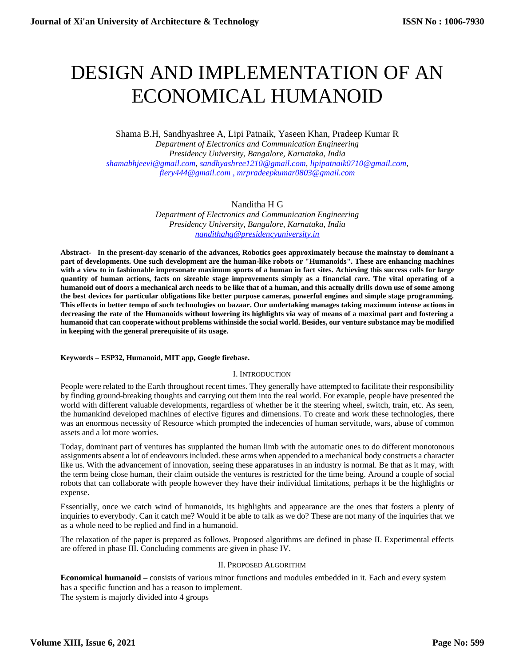# DESIGN AND IMPLEMENTATION OF AN ECONOMICAL HUMANOID

Shama B.H, Sandhyashree A, Lipi Patnaik, Yaseen Khan, Pradeep Kumar R

*Department of Electronics and Communication Engineering Presidency University, Bangalore, Karnataka, India shamabhjeevi@gmail.com[, sandhyashree1210@gmail.com,](mailto:sandhyashree1210@gmail.com) lipipatnaik0710@gmail.com, [fiery444@gmail.com](mailto:fiery444@gmail.com) , mrpradeepkumar0803@gmail.com*

## Nanditha H G

*Department of Electronics and Communication Engineering Presidency University, Bangalore, Karnataka, India [nandithahg@presidencyuniversity.in](mailto:nandithahg@presidencyuniversity.in)*

**Abstract- In the present-day scenario of the advances, Robotics goes approximately because the mainstay to dominant a part of developments. One such development are the human-like robots or "Humanoids". These are enhancing machines with a view to in fashionable impersonate maximum sports of a human in fact sites. Achieving this success calls for large quantity of human actions, facts on sizeable stage improvements simply as a financial care. The vital operating of a humanoid out of doors a mechanical arch needs to be like that of a human, and this actually drills down use of some among the best devices for particular obligations like better purpose cameras, powerful engines and simple stage programming. This effects in better tempo of such technologies on bazaar. Our undertaking manages taking maximum intense actions in decreasing the rate of the Humanoids without lowering its highlights via way of means of a maximal part and fostering a humanoid that can cooperate without problems withinside the social world. Besides, our venture substance may be modified in keeping with the general prerequisite of its usage.**

#### **Keywords – ESP32, Humanoid, MIT app, Google firebase.**

#### I. INTRODUCTION

People were related to the Earth throughout recent times. They generally have attempted to facilitate their responsibility by finding ground-breaking thoughts and carrying out them into the real world. For example, people have presented the world with different valuable developments, regardless of whether be it the steering wheel, switch, train, etc. As seen, the humankind developed machines of elective figures and dimensions. To create and work these technologies, there was an enormous necessity of Resource which prompted the indecencies of human servitude, wars, abuse of common assets and a lot more worries.

Today, dominant part of ventures has supplanted the human limb with the automatic ones to do different monotonous assignments absent a lot of endeavoursincluded. these arms when appended to a mechanical body constructs a character like us. With the advancement of innovation, seeing these apparatuses in an industry is normal. Be that as it may, with the term being close human, their claim outside the ventures is restricted for the time being. Around a couple of social robots that can collaborate with people however they have their individual limitations, perhaps it be the highlights or expense.

Essentially, once we catch wind of humanoids, its highlights and appearance are the ones that fosters a plenty of inquiries to everybody. Can it catch me? Would it be able to talk as we do? These are not many of the inquiries that we as a whole need to be replied and find in a humanoid.

The relaxation of the paper is prepared as follows. Proposed algorithms are defined in phase II. Experimental effects are offered in phase III. Concluding comments are given in phase IV.

#### II. PROPOSED ALGORITHM

**Economical humanoid –** consists of various minor functions and modules embedded in it. Each and every system has a specific function and has a reason to implement. The system is majorly divided into 4 groups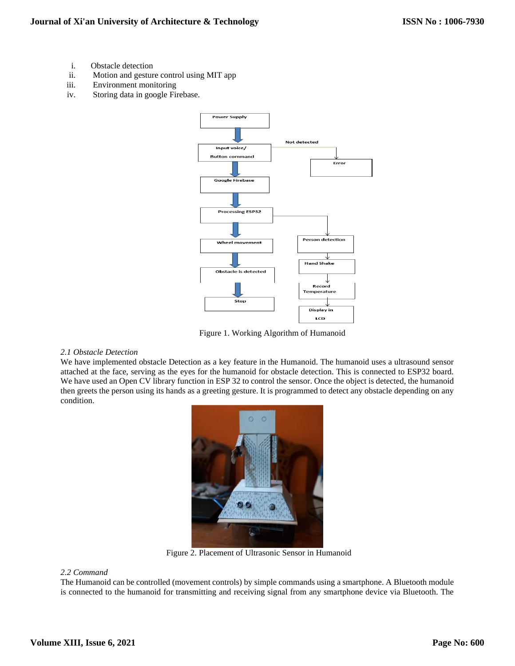- i. Obstacle detection
- ii. Motion and gesture control using MIT app
- iii. Environment monitoring
- iv. Storing data in google Firebase.



Figure 1. Working Algorithm of Humanoid

### *2.1 Obstacle Detection*

We have implemented obstacle Detection as a key feature in the Humanoid. The humanoid uses a ultrasound sensor attached at the face, serving as the eyes for the humanoid for obstacle detection. This is connected to ESP32 board. We have used an Open CV library function in ESP 32 to control the sensor. Once the object is detected, the humanoid then greets the person using its hands as a greeting gesture. It is programmed to detect any obstacle depending on any condition.



Figure 2. Placement of Ultrasonic Sensor in Humanoid

#### *2.2 Command*

The Humanoid can be controlled (movement controls) by simple commands using a smartphone. A Bluetooth module is connected to the humanoid for transmitting and receiving signal from any smartphone device via Bluetooth. The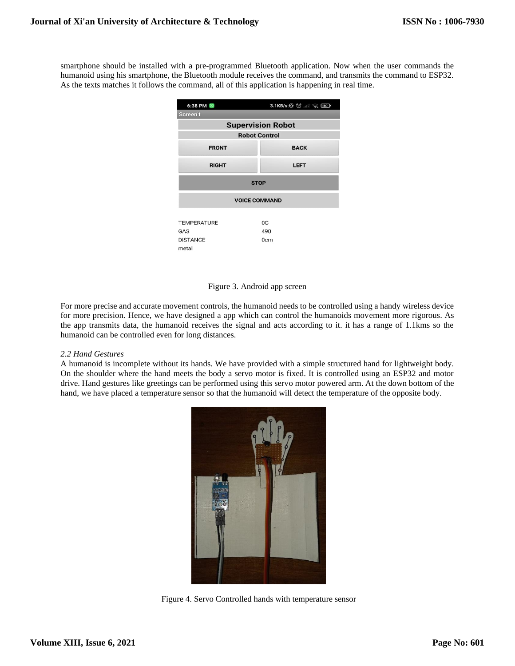smartphone should be installed with a pre-programmed Bluetooth application. Now when the user commands the humanoid using his smartphone, the Bluetooth module receives the command, and transmits the command to ESP32. As the texts matches it follows the command, all of this application is happening in real time.

| 6:38 PM <sup>O</sup>                                  | 3.1KB/s $\circledS$ ( ) |
|-------------------------------------------------------|-------------------------|
| Screen1                                               |                         |
| <b>Supervision Robot</b>                              |                         |
| <b>Robot Control</b>                                  |                         |
| <b>FRONT</b>                                          | <b>BACK</b>             |
| <b>RIGHT</b>                                          | <b>LEFT</b>             |
| <b>STOP</b>                                           |                         |
| <b>VOICE COMMAND</b>                                  |                         |
| <b>TEMPERATURE</b><br>GAS<br><b>DISTANCE</b><br>metal | 0C<br>490<br>0cm        |

#### Figure 3. Android app screen

For more precise and accurate movement controls, the humanoid needs to be controlled using a handy wireless device for more precision. Hence, we have designed a app which can control the humanoids movement more rigorous. As the app transmits data, the humanoid receives the signal and acts according to it. it has a range of 1.1kms so the humanoid can be controlled even for long distances.

#### *2.2 Hand Gestures*

A humanoid is incomplete without its hands. We have provided with a simple structured hand for lightweight body. On the shoulder where the hand meets the body a servo motor is fixed. It is controlled using an ESP32 and motor drive. Hand gestures like greetings can be performed using this servo motor powered arm. At the down bottom of the hand, we have placed a temperature sensor so that the humanoid will detect the temperature of the opposite body.



Figure 4. Servo Controlled hands with temperature sensor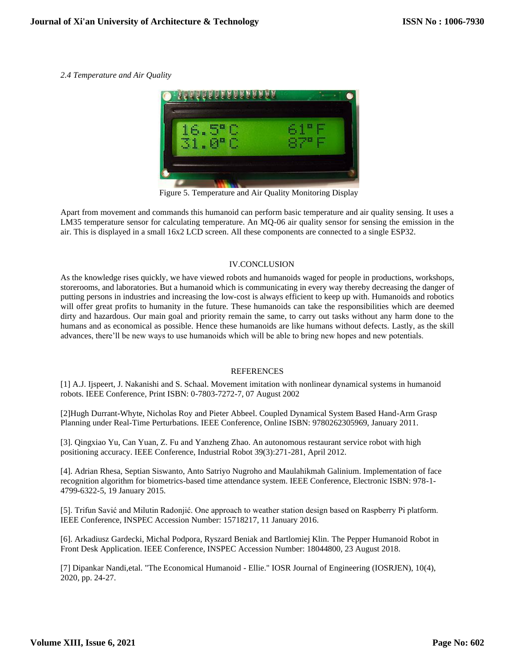*2.4 Temperature and Air Quality*



Figure 5. Temperature and Air Quality Monitoring Display

Apart from movement and commands this humanoid can perform basic temperature and air quality sensing. It uses a LM35 temperature sensor for calculating temperature. An MQ-06 air quality sensor for sensing the emission in the air. This is displayed in a small 16x2 LCD screen. All these components are connected to a single ESP32.

## IV.CONCLUSION

As the knowledge rises quickly, we have viewed robots and humanoids waged for people in productions, workshops, storerooms, and laboratories. But a humanoid which is communicating in every way thereby decreasing the danger of putting persons in industries and increasing the low-cost is always efficient to keep up with. Humanoids and robotics will offer great profits to humanity in the future. These humanoids can take the responsibilities which are deemed dirty and hazardous. Our main goal and priority remain the same, to carry out tasks without any harm done to the humans and as economical as possible. Hence these humanoids are like humans without defects. Lastly, as the skill advances, there'll be new ways to use humanoids which will be able to bring new hopes and new potentials.

## REFERENCES

[1] A.J. Ijspeert, J. Nakanishi and S. Schaal. Movement imitation with nonlinear dynamical systems in humanoid robots. IEEE Conference, Print ISBN: 0-7803-7272-7, 07 August 2002

[2]Hugh Durrant-Whyte, Nicholas Roy and Pieter Abbeel. Coupled Dynamical System Based Hand-Arm Grasp Planning under Real-Time Perturbations. IEEE Conference, Online ISBN: 9780262305969, January 2011.

[3]. Qingxiao Yu, Can Yuan, Z. Fu and Yanzheng Zhao. An autonomous restaurant service robot with high positioning accuracy. IEEE Conference, Industrial Robot 39(3):271-281, April 2012.

[4]. Adrian Rhesa, Septian Siswanto, Anto Satriyo Nugroho and Maulahikmah Galinium. Implementation of face recognition algorithm for biometrics-based time attendance system. IEEE Conference, Electronic ISBN: 978-1- 4799-6322-5, 19 January 2015.

[5]. Trifun Savić and Milutin Radonjić. One approach to weather station design based on Raspberry Pi platform. IEEE Conference, INSPEC Accession Number: 15718217, 11 January 2016.

[6]. Arkadiusz Gardecki, Michal Podpora, Ryszard Beniak and Bartlomiej Klin. The Pepper Humanoid Robot in Front Desk Application. IEEE Conference, INSPEC Accession Number: 18044800, 23 August 2018.

[7] Dipankar Nandi,etal. "The Economical Humanoid - Ellie." IOSR Journal of Engineering (IOSRJEN), 10(4), 2020, pp. 24-27.